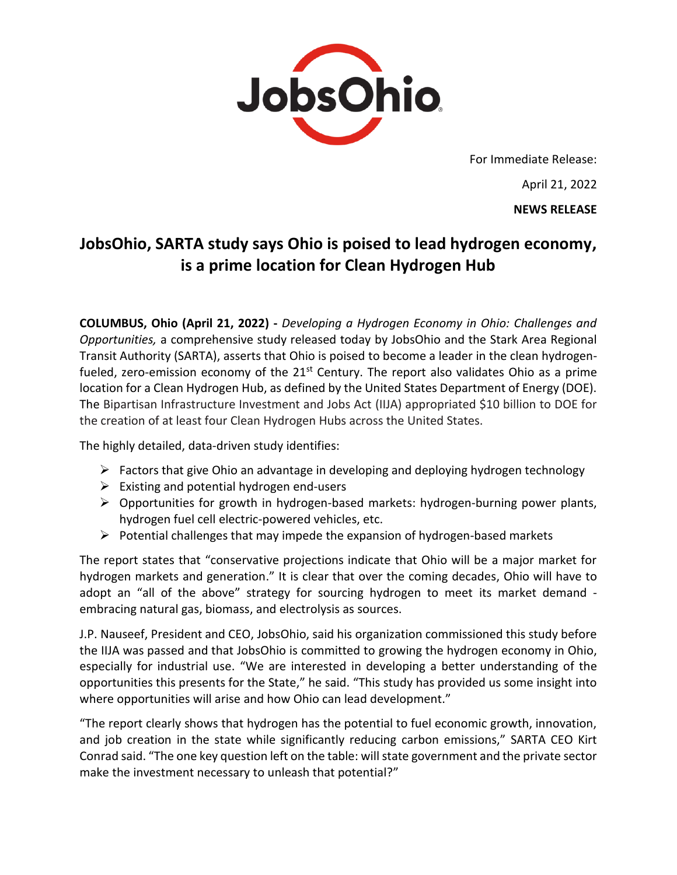

For Immediate Release:

April 21, 2022 **NEWS RELEASE**

# **JobsOhio, SARTA study says Ohio is poised to lead hydrogen economy, is a prime location for Clean Hydrogen Hub**

**COLUMBUS, Ohio (April 21, 2022) -** *Developing a Hydrogen Economy in Ohio: Challenges and Opportunities,* a comprehensive study released today by JobsOhio and the Stark Area Regional Transit Authority (SARTA), asserts that Ohio is poised to become a leader in the clean hydrogenfueled, zero-emission economy of the  $21<sup>st</sup>$  Century. The report also validates Ohio as a prime location for a Clean Hydrogen Hub, as defined by the United States Department of Energy (DOE). The Bipartisan Infrastructure Investment and Jobs Act (IIJA) appropriated \$10 billion to DOE for the creation of at least four Clean Hydrogen Hubs across the United States.

The highly detailed, data-driven study identifies:

- $\triangleright$  Factors that give Ohio an advantage in developing and deploying hydrogen technology
- $\triangleright$  Existing and potential hydrogen end-users
- $\triangleright$  Opportunities for growth in hydrogen-based markets: hydrogen-burning power plants, hydrogen fuel cell electric-powered vehicles, etc.
- $\triangleright$  Potential challenges that may impede the expansion of hydrogen-based markets

The report states that "conservative projections indicate that Ohio will be a major market for hydrogen markets and generation." It is clear that over the coming decades, Ohio will have to adopt an "all of the above" strategy for sourcing hydrogen to meet its market demand embracing natural gas, biomass, and electrolysis as sources.

J.P. Nauseef, President and CEO, JobsOhio, said his organization commissioned this study before the IIJA was passed and that JobsOhio is committed to growing the hydrogen economy in Ohio, especially for industrial use. "We are interested in developing a better understanding of the opportunities this presents for the State," he said. "This study has provided us some insight into where opportunities will arise and how Ohio can lead development."

"The report clearly shows that hydrogen has the potential to fuel economic growth, innovation, and job creation in the state while significantly reducing carbon emissions," SARTA CEO Kirt Conrad said. "The one key question left on the table: will state government and the private sector make the investment necessary to unleash that potential?"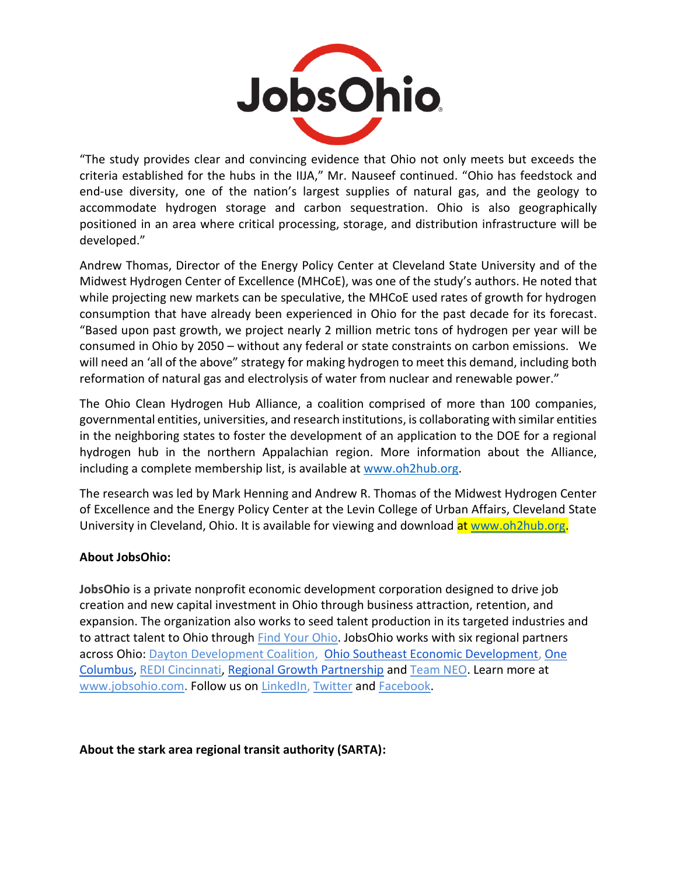

"The study provides clear and convincing evidence that Ohio not only meets but exceeds the criteria established for the hubs in the IIJA," Mr. Nauseef continued. "Ohio has feedstock and end-use diversity, one of the nation's largest supplies of natural gas, and the geology to accommodate hydrogen storage and carbon sequestration. Ohio is also geographically positioned in an area where critical processing, storage, and distribution infrastructure will be developed."

Andrew Thomas, Director of the Energy Policy Center at Cleveland State University and of the Midwest Hydrogen Center of Excellence (MHCoE), was one of the study's authors. He noted that while projecting new markets can be speculative, the MHCoE used rates of growth for hydrogen consumption that have already been experienced in Ohio for the past decade for its forecast. "Based upon past growth, we project nearly 2 million metric tons of hydrogen per year will be consumed in Ohio by 2050 – without any federal or state constraints on carbon emissions. We will need an 'all of the above" strategy for making hydrogen to meet this demand, including both reformation of natural gas and electrolysis of water from nuclear and renewable power."

The Ohio Clean Hydrogen Hub Alliance, a coalition comprised of more than 100 companies, governmental entities, universities, and research institutions, is collaborating with similar entities in the neighboring states to foster the development of an application to the DOE for a regional hydrogen hub in the northern Appalachian region. More information about the Alliance, including a complete membership list, is available at [www.oh2hub.org.](about:blank)

The research was led by Mark Henning and Andrew R. Thomas of the Midwest Hydrogen Center of Excellence and the Energy Policy Center at the Levin College of Urban Affairs, Cleveland State University in Cleveland, Ohio. It is available for viewing and download at [www.oh2hub.org.](about:blank)

### **About JobsOhio:**

**JobsOhio** is a private nonprofit economic development corporation designed to drive job creation and new capital investment in Ohio through business attraction, retention, and expansion. The organization also works to seed talent production in its targeted industries and to attract talent to Ohio through [Find Your Ohio.](about:blank) JobsOhio works with six regional partners across Ohio[: Dayton Development Coalition, Ohio Southeast Economic Development, One](about:blank)  [Columbus,](about:blank) [REDI Cincinnati, Regional Growth Partnership](about:blank) and [Team NEO.](about:blank) Learn more at [www.jobsohio.com.](about:blank) Follow us on [LinkedIn, Twitter](about:blank) and [Facebook.](about:blank)

### **About the stark area regional transit authority (SARTA):**